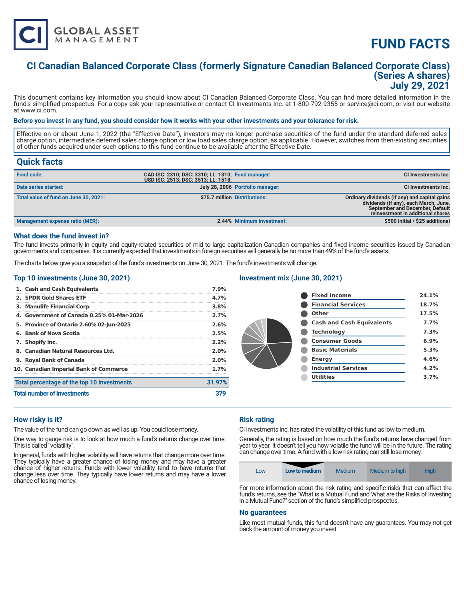

# **FUND FACTS**

# **CI Canadian Balanced Corporate Class (formerly Signature Canadian Balanced Corporate Class) (Series A shares) July 29, 2021**

This document contains key information you should know about CI Canadian Balanced Corporate Class. You can find more detailed information in the fund's simplified prospectus. For a copy ask your representative or contact CI Investments Inc. at 1-800-792-9355 or service@ci.com, or visit our website at www.ci.com.

### **Before you invest in any fund, you should consider how it works with your other investments and your tolerance for risk.**

Effective on or about June 1, 2022 (the "Effective Date"), investors may no longer purchase securities of the fund under the standard deferred sales charge option, intermediate deferred sales charge option or low load sales charge option, as applicable. However, switches from then-existing securities of other funds acquired under such options to this fund continue to be available after the Effective Date.

# **Quick facts**

| <b>Fund code:</b>                     | CAD ISC: 2310; DSC: 3310; LL: 1310; Fund manager:<br>USD ISC: 2513; DSC: 3513; LL: 1518; |                                  | CI Investments Inc.                                                                                                                                                   |
|---------------------------------------|------------------------------------------------------------------------------------------|----------------------------------|-----------------------------------------------------------------------------------------------------------------------------------------------------------------------|
| Date series started:                  |                                                                                          | July 28, 2006 Portfolio manager: | <b>CI Investments Inc.</b>                                                                                                                                            |
| Total value of fund on June 30, 2021: |                                                                                          | \$75.7 million Distributions:    | Ordinary dividends (if any) and capital gains<br>dividends (if any), each March, June,<br><b>September and December, Default</b><br>reinvestment in additional shares |
| Management expense ratio (MER):       |                                                                                          | 2.44% Minimum investment:        | \$500 initial / \$25 additional                                                                                                                                       |

#### **What does the fund invest in?**

The fund invests primarily in equity and equity-related securities of mid to large capitalization Canadian companies and fixed income securities issued by Canadian governments and companies. It is currently expected that investments in foreign securities will generally be no more than 49% of the fund's assets.

The charts below give you a snapshot of the fund's investments on June 30, 2021. The fund's investments will change.

### **Top 10 investments (June 30, 2021)**

| 1. Cash and Cash Equivalents               | 7.9%    |  |
|--------------------------------------------|---------|--|
| 2. SPDR Gold Shares ETF                    | 4.7%    |  |
| 3. Manulife Financial Corp.                | 3.8%    |  |
| 4. Government of Canada 0.25% 01-Mar-2026  | 2.7%    |  |
| 5. Province of Ontario 2.60% 02-Jun-2025   | 2.6%    |  |
| 6. Bank of Nova Scotia                     | 2.5%    |  |
| 7. Shopify Inc.                            | 2.2%    |  |
| 8. Canadian Natural Resources Ltd.         | $2.0\%$ |  |
| 9. Royal Bank of Canada                    | 2.0%    |  |
| 10. Canadian Imperial Bank of Commerce     | 1.7%    |  |
| Total percentage of the top 10 investments | 31.97%  |  |
| <b>Total number of investments</b>         |         |  |

### **Investment mix (June 30, 2021)**

| <b>Fixed Income</b>              | 24.1% |
|----------------------------------|-------|
| <b>Financial Services</b>        | 18.7% |
| Other                            | 17.5% |
| <b>Cash and Cash Equivalents</b> | 7.7%  |
| <b>Technology</b>                | 7.3%  |
| <b>Consumer Goods</b>            | 6.9%  |
| <b>Basic Materials</b>           | 5.3%  |
| <b>Energy</b>                    | 4.6%  |
| <b>Industrial Services</b>       | 4.2%  |
| <b>Utilities</b>                 | 3.7%  |
|                                  |       |

### **How risky is it?**

The value of the fund can go down as well as up. You could lose money.

One way to gauge risk is to look at how much a fund's returns change over time. This is called "volatility".

In general, funds with higher volatility will have returns that change more over time. They typically have a greater chance of losing money and may have a greater chance of higher returns. Funds with lower volatility tend to have returns that change less over time. They typically have lower returns and may have a lower chance of losing money.

# **Risk rating**

CI Investments Inc. has rated the volatility of this fund as low to medium.

Generally, the rating is based on how much the fund's returns have changed from year to year. It doesn't tell you how volatile the fund will be in the future. The rating can change over time. A fund with a low risk rating can still lose money.

| LOW | Low to medium | Medium | Medium to high | <b>High</b> |
|-----|---------------|--------|----------------|-------------|
|-----|---------------|--------|----------------|-------------|

For more information about the risk rating and specific risks that can affect the fund's returns, see the "What is a Mutual Fund and What are the Risks of Investing in a Mutual Fund?" section of the fund's simplified prospectus.

#### **No guarantees**

Like most mutual funds, this fund doesn't have any guarantees. You may not get back the amount of money you invest.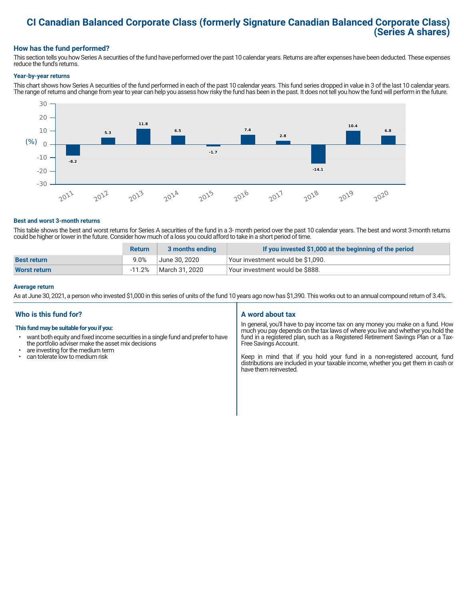# **CI Canadian Balanced Corporate Class (formerly Signature Canadian Balanced Corporate Class) (Series A shares)**

# **How has the fund performed?**

This section tells you how Series A securities of the fund have performed over the past 10 calendar years. Returns are after expenses have been deducted. These expenses reduce the fund's returns.

#### **Year-by-year returns**

This chart shows how Series A securities of the fund performed in each of the past 10 calendar years. This fund series dropped in value in 3 of the last 10 calendar years. The range of returns and change from year to year can help you assess how risky the fund has been in the past. It does not tell you how the fund will perform in the future.



#### **Best and worst 3-month returns**

This table shows the best and worst returns for Series A securities of the fund in a 3- month period over the past 10 calendar years. The best and worst 3-month returns could be higher or lower in the future. Consider how much of a loss you could afford to take in a short period of time.

|                     | <b>Return</b> | 3 months ending | If you invested \$1,000 at the beginning of the period |
|---------------------|---------------|-----------------|--------------------------------------------------------|
| <b>Best return</b>  | $9.0\%$       | June 30. 2020   | Your investment would be \$1,090.                      |
| <b>Worst return</b> | $-11.2%$      | March 31. 2020  | Your investment would be \$888.                        |

#### **Average return**

As at June 30, 2021, a person who invested \$1,000 in this series of units of the fund 10 years ago now has \$1,390. This works out to an annual compound return of 3.4%.

# **Who is this fund for?**

#### **This fund may be suitable for you if you:**

- want both equity and fixed income securities in a single fund and prefer to have the portfolio adviser make the asset mix decisions
- are investing for the medium term<br>• can tolerate low to medium risk
- can tolerate low to medium risk

### **A word about tax**

In general, you'll have to pay income tax on any money you make on a fund. How much you pay depends on the tax laws of where you live and whether you hold the fund in a registered plan, such as a Registered Retirement Savings Plan or a Tax-Free Savings Account.

Keep in mind that if you hold your fund in a non-registered account, fund distributions are included in your taxable income, whether you get them in cash or have them reinvested.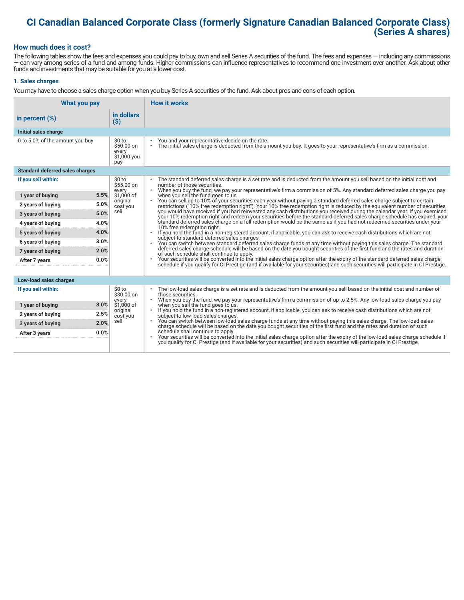# **CI Canadian Balanced Corporate Class (formerly Signature Canadian Balanced Corporate Class) (Series A shares)**

# **How much does it cost?**

The following tables show the fees and expenses you could pay to buy, own and sell Series A securities of the fund. The fees and expenses — including any commissions — can vary among series of a fund and among funds. Higher commissions can influence representatives to recommend one investment over another. Ask about other funds and investments that may be suitable for you at a lower cost.

### **1. Sales charges**

You may have to choose a sales charge option when you buy Series A securities of the fund. Ask about pros and cons of each option.

| <b>How it works</b><br>What you pay    |                                                      |                                                                                                                                                                                                                                                                                                                |
|----------------------------------------|------------------------------------------------------|----------------------------------------------------------------------------------------------------------------------------------------------------------------------------------------------------------------------------------------------------------------------------------------------------------------|
| in percent $(\%)$                      | in dollars<br>$($ \$)                                |                                                                                                                                                                                                                                                                                                                |
| Initial sales charge                   |                                                      |                                                                                                                                                                                                                                                                                                                |
| 0 to 5.0% of the amount you buy        | \$0 to<br>$$50.00$ on<br>every<br>\$1,000 you<br>pay | You and your representative decide on the rate.<br>The initial sales charge is deducted from the amount you buy. It goes to your representative's firm as a commission.<br>$\bullet$                                                                                                                           |
| <b>Standard deferred sales charges</b> |                                                      |                                                                                                                                                                                                                                                                                                                |
| If you sell within:                    | \$0 to<br>\$55.00 on                                 | The standard deferred sales charge is a set rate and is deducted from the amount you sell based on the initial cost and<br>number of those securities.                                                                                                                                                         |
| 5.5%<br>1 year of buying               | every<br>\$1,000 of                                  | When you buy the fund, we pay your representative's firm a commission of 5%. Any standard deferred sales charge you pay<br>$\bullet$<br>when you sell the fund goes to us.                                                                                                                                     |
| 5.0%<br>2 years of buying              | original<br>cost you                                 | You can sell up to 10% of your securities each year without paying a standard deferred sales charge subject to certain<br>restrictions ("10% free redemption right"). Your 10% free redemption right is reduced by the equivalent number of securities                                                         |
| 5.0%<br>3 years of buying              | sell                                                 | you would have received if you had reinvested any cash distributions you received during the calendar year. If you exercised<br>your 10% redemption right and redeem your securities before the standard deferred sales charge schedule has expired, your                                                      |
| 4.0%<br>4 years of buying              |                                                      | standard deferred sales charge on a full redemption would be the same as if you had not redeemed securities under your<br>10% free redemption right.                                                                                                                                                           |
| 4.0%<br>5 years of buying              |                                                      | If you hold the fund in a non-registered account, if applicable, you can ask to receive cash distributions which are not<br>subject to standard deferred sales charges.<br>You can switch between standard deferred sales charge funds at any time without paying this sales charge. The standard<br>$\bullet$ |
| 3.0%<br>6 years of buying              |                                                      |                                                                                                                                                                                                                                                                                                                |
| 2.0%<br>7 years of buying              |                                                      | deferred sales charge schedule will be based on the date you bought securities of the first fund and the rates and duration<br>of such schedule shall continue to apply.                                                                                                                                       |
| 0.0%<br>After 7 years                  |                                                      | Your securities will be converted into the initial sales charge option after the expiry of the standard deferred sales charge<br>schedule if you qualify for CI Prestige (and if available for your securities) and such securities will participate in CI Prestige.                                           |
| Low-load sales charges                 |                                                      |                                                                                                                                                                                                                                                                                                                |
| If you sell within:                    | \$0 to<br>\$30.00 on<br>every                        | The low-load sales charge is a set rate and is deducted from the amount you sell based on the initial cost and number of<br>those securities.<br>When you buy the fund, we pay your representative's firm a commission of up to 2.5%. Any low-load sales charge you pay                                        |
| 3.0%<br>1 year of buying               | \$1,000 of                                           | when you sell the fund goes to us.                                                                                                                                                                                                                                                                             |
| 2.5%<br>2 years of buying              | original<br>cost you                                 | If you hold the fund in a non-registered account, if applicable, you can ask to receive cash distributions which are not<br>subject to low-load sales charges.                                                                                                                                                 |
| 2.0%<br>3 years of buying              | sell                                                 | . You can switch between low-load sales charge funds at any time without paying this sales charge. The low-load sales<br>charge schedule will be based on the date you bought securities of the first fund and the rates and duration of such                                                                  |
| 0.0%<br>After 3 years                  |                                                      | schedule shall continue to apply.<br>Your securities will be converted into the initial sales charge option after the expiry of the low-load sales charge schedule if<br>you qualify for CI Prestige (and if available for your securities) and such securities will participate in CI Prestige.               |
|                                        |                                                      |                                                                                                                                                                                                                                                                                                                |